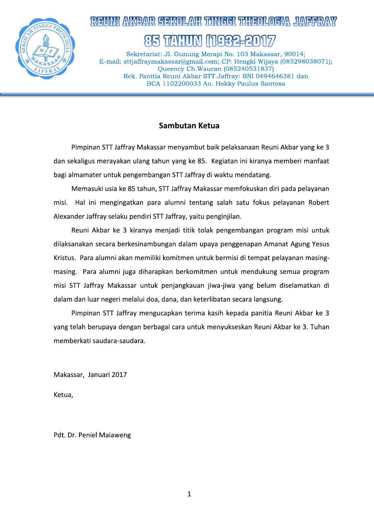

# NI AVKIBAIR SIBIKOLANI TUNIGGI TUJUBOLOGIYA JIAIBBR

Sekretariat: Jl. Gunung Merapi No. 103 Makassar, 90014; E-mail: sttjaffraymakassar@gmail.com; CP: Hengki Wijaya (085298038071); Oueency Ch. Wauran (085240531837) Rek. Panitia Reuni Akbar STT Jaffray: BNI 0494646381 dan BCA 1102200033 An. Hokky Paulus Santosa

### Sambutan Ketua

Pimpinan STT Jaffray Makassar menyambut baik pelaksanaan Reuni Akbar yang ke 3 dan sekaligus merayakan ulang tahun yang ke 85. Kegiatan ini kiranya memberi manfaat bagi almamater untuk pengembangan STT Jaffray di waktu mendatang.

Memasuki usia ke 85 tahun, STT Jaffray Makassar memfokuskan diri pada pelayanan misi. Hal ini mengingatkan para alumni tentang salah satu fokus pelayanan Robert Alexander Jaffray selaku pendiri STT Jaffray, yaitu penginjilan.

Reuni Akbar ke 3 kiranya menjadi titik tolak pengembangan program misi untuk dilaksanakan secara berkesinambungan dalam upaya penggenapan Amanat Agung Yesus Kristus. Para alumni akan memiliki komitmen untuk bermisi di tempat pelayanan masingmasing. Para alumni juga diharapkan berkomitmen untuk mendukung semua program misi STT Jaffray Makassar untuk penjangkauan jiwa-jiwa yang belum diselamatkan di dalam dan luar negeri melalui doa, dana, dan keterlibatan secara langsung.

Pimpinan STT Jaffray mengucapkan terima kasih kepada panitia Reuni Akbar ke 3 yang telah berupaya dengan berbagai cara untuk menyukseskan Reuni Akbar ke 3. Tuhan memberkati saudara-saudara.

Makassar, Januari 2017

Ketua,

Pdt. Dr. Peniel Maiaweng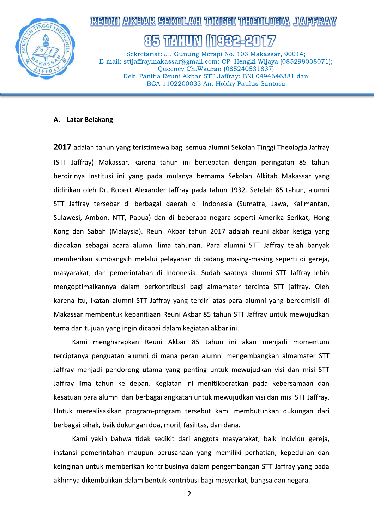

## EINNI AVABAR SEKOLANI TUNIHHI TUJIKINA JANEER 나눠난

Sekretariat: Jl. Gunung Merapi No. 103 Makassar, 90014; E-mail: sttjaffraymakassar@gmail.com; CP: Hengki Wijaya (085298038071); Oueency Ch. Wauran (085240531837) Rek. Panitia Reuni Akbar STT Jaffray: BNI 0494646381 dan BCA 1102200033 An. Hokky Paulus Santosa

#### **Latar Belakang** А.

2017 adalah tahun yang teristimewa bagi semua alumni Sekolah Tinggi Theologia Jaffray (STT Jaffray) Makassar, karena tahun ini bertepatan dengan peringatan 85 tahun berdirinya institusi ini yang pada mulanya bernama Sekolah Alkitab Makassar yang didirikan oleh Dr. Robert Alexander Jaffray pada tahun 1932. Setelah 85 tahun, alumni STT Jaffray tersebar di berbagai daerah di Indonesia (Sumatra, Jawa, Kalimantan, Sulawesi, Ambon, NTT, Papua) dan di beberapa negara seperti Amerika Serikat, Hong Kong dan Sabah (Malaysia). Reuni Akbar tahun 2017 adalah reuni akbar ketiga yang diadakan sebagai acara alumni lima tahunan. Para alumni STT Jaffray telah banyak memberikan sumbangsih melalui pelayanan di bidang masing-masing seperti di gereja, masyarakat, dan pemerintahan di Indonesia. Sudah saatnya alumni STT Jaffray lebih mengoptimalkannya dalam berkontribusi bagi almamater tercinta STT jaffray. Oleh karena itu, ikatan alumni STT Jaffray yang terdiri atas para alumni yang berdomisili di Makassar membentuk kepanitiaan Reuni Akbar 85 tahun STT Jaffray untuk mewujudkan tema dan tujuan yang ingin dicapai dalam kegiatan akbar ini.

Kami mengharapkan Reuni Akbar 85 tahun ini akan menjadi momentum terciptanya penguatan alumni di mana peran alumni mengembangkan almamater STT Jaffray menjadi pendorong utama yang penting untuk mewujudkan visi dan misi STT Jaffray lima tahun ke depan. Kegiatan ini menitikberatkan pada kebersamaan dan kesatuan para alumni dari berbagai angkatan untuk mewujudkan visi dan misi STT Jaffray. Untuk merealisasikan program-program tersebut kami membutuhkan dukungan dari berbagai pihak, baik dukungan doa, moril, fasilitas, dan dana.

Kami yakin bahwa tidak sedikit dari anggota masyarakat, baik individu gereja, instansi pemerintahan maupun perusahaan yang memiliki perhatian, kepedulian dan keinginan untuk memberikan kontribusinya dalam pengembangan STT Jaffray yang pada akhirnya dikembalikan dalam bentuk kontribusi bagi masyarkat, bangsa dan negara.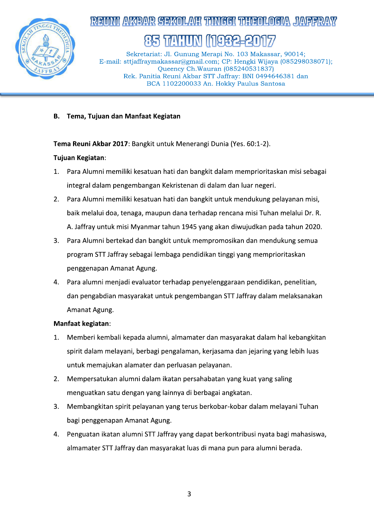

# REINNI AVABAR SEKOLANI TUNIHHI TUJIENINA JANEER

1748:11M 나눠 내

Sekretariat: Jl. Gunung Merapi No. 103 Makassar, 90014; E-mail: sttjaffraymakassar@gmail.com; CP: Hengki Wijaya (085298038071); Oueency Ch. Wauran (085240531837) Rek. Panitia Reuni Akbar STT Jaffray: BNI 0494646381 dan BCA 1102200033 An. Hokky Paulus Santosa

Tema, Tujuan dan Manfaat Kegiatan **B.** 

Tema Reuni Akbar 2017: Bangkit untuk Menerangi Dunia (Yes. 60:1-2).

## Tujuan Kegiatan:

- Para Alumni memiliki kesatuan hati dan bangkit dalam memprioritaskan misi sebagai 1. integral dalam pengembangan Kekristenan di dalam dan luar negeri.
- Para Alumni memiliki kesatuan hati dan bangkit untuk mendukung pelayanan misi,  $2.$ baik melalui doa, tenaga, maupun dana terhadap rencana misi Tuhan melalui Dr. R. A. Jaffray untuk misi Myanmar tahun 1945 yang akan diwujudkan pada tahun 2020.
- 3. Para Alumni bertekad dan bangkit untuk mempromosikan dan mendukung semua program STT Jaffray sebagai lembaga pendidikan tinggi yang memprioritaskan penggenapan Amanat Agung.
- Para alumni menjadi evaluator terhadap penyelenggaraan pendidikan, penelitian, 4. dan pengabdian masyarakat untuk pengembangan STT Jaffray dalam melaksanakan Amanat Agung.

## Manfaat kegiatan:

- 1. Memberi kembali kepada alumni, almamater dan masyarakat dalam hal kebangkitan spirit dalam melayani, berbagi pengalaman, kerjasama dan jejaring yang lebih luas untuk memajukan alamater dan perluasan pelayanan.
- Mempersatukan alumni dalam ikatan persahabatan yang kuat yang saling 2. menguatkan satu dengan yang lainnya di berbagai angkatan.
- Membangkitan spirit pelayanan yang terus berkobar-kobar dalam melayani Tuhan 3. bagi penggenapan Amanat Agung.
- Penguatan ikatan alumni STT Jaffray yang dapat berkontribusi nyata bagi mahasiswa, 4. almamater STT Jaffray dan masyarakat luas di mana pun para alumni berada.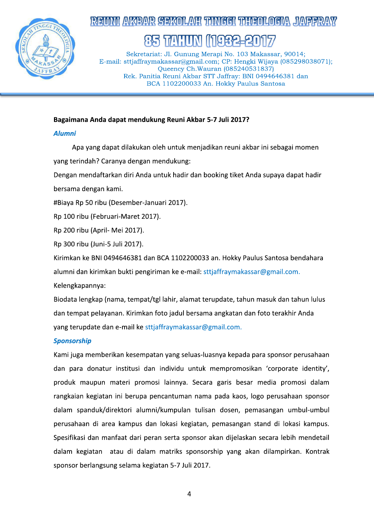

# MI AKABANG SIBIKOLANG TAMIGGI TAHUBULOGIYA JIANSER

# 1748:111NI

Sekretariat: Jl. Gunung Merapi No. 103 Makassar, 90014; E-mail: sttjaffraymakassar@gmail.com; CP: Hengki Wijaya (085298038071); Oueency Ch. Wauran (085240531837) Rek. Panitia Reuni Akbar STT Jaffray: BNI 0494646381 dan BCA 1102200033 An. Hokky Paulus Santosa

### Bagaimana Anda dapat mendukung Reuni Akbar 5-7 Juli 2017?

### **Alumni**

Apa yang dapat dilakukan oleh untuk menjadikan reuni akbar ini sebagai momen yang terindah? Caranya dengan mendukung:

Dengan mendaftarkan diri Anda untuk hadir dan booking tiket Anda supaya dapat hadir bersama dengan kami.

#Biaya Rp 50 ribu (Desember-Januari 2017).

Rp 100 ribu (Februari-Maret 2017).

Rp 200 ribu (April- Mei 2017).

Rp 300 ribu (Juni-5 Juli 2017).

Kirimkan ke BNI 0494646381 dan BCA 1102200033 an. Hokky Paulus Santosa bendahara alumni dan kirimkan bukti pengiriman ke e-mail: sttjaffraymakassar@gmail.com.

Kelengkapannya:

Biodata lengkap (nama, tempat/tgl lahir, alamat terupdate, tahun masuk dan tahun lulus dan tempat pelayanan. Kirimkan foto jadul bersama angkatan dan foto terakhir Anda yang terupdate dan e-mail ke sttjaffraymakassar@gmail.com.

## **Sponsorship**

Kami juga memberikan kesempatan yang seluas-luasnya kepada para sponsor perusahaan dan para donatur institusi dan individu untuk mempromosikan 'corporate identity', produk maupun materi promosi lainnya. Secara garis besar media promosi dalam rangkaian kegiatan ini berupa pencantuman nama pada kaos, logo perusahaan sponsor dalam spanduk/direktori alumni/kumpulan tulisan dosen, pemasangan umbul-umbul perusahaan di area kampus dan lokasi kegiatan, pemasangan stand di lokasi kampus. Spesifikasi dan manfaat dari peran serta sponsor akan dijelaskan secara lebih mendetail dalam kegiatan atau di dalam matriks sponsorship yang akan dilampirkan. Kontrak sponsor berlangsung selama kegiatan 5-7 Juli 2017.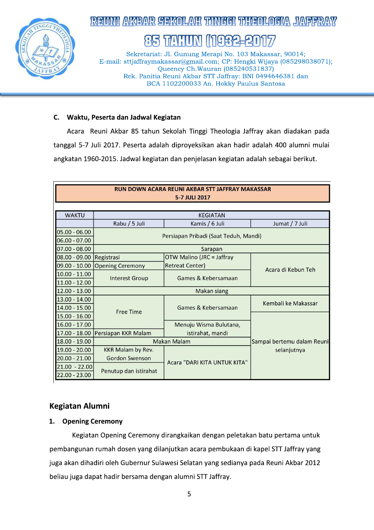

# REINNI AKEANR SEKOLAYI TUNGGI TUGGANLOGIA JAYEER

174 HHN 932

Sekretariat: Jl. Gunung Merapi No. 103 Makassar, 90014; E-mail: sttjaffraymakassar@gmail.com; CP: Hengki Wijaya (085298038071); Queency Ch. Wauran (085240531837) Rek. Panitia Reuni Akbar STT Jaffray: BNI 0494646381 dan BCA 1102200033 An. Hokky Paulus Santosa

#### C. Waktu, Peserta dan Jadwal Kegiatan

Acara Reuni Akbar 85 tahun Sekolah Tinggi Theologia Jaffray akan diadakan pada tanggal 5-7 Juli 2017. Peserta adalah diproyeksikan akan hadir adalah 400 alumni mulai angkatan 1960-2015. Jadwal kegiatan dan penjelasan kegiatan adalah sebagai berikut.

| <b>RUN DOWN ACARA REUNI AKBAR STT JAFFRAY MAKASSAR</b><br>5-7 JULI 2017 |                          |                                       |                            |  |  |  |
|-------------------------------------------------------------------------|--------------------------|---------------------------------------|----------------------------|--|--|--|
|                                                                         |                          |                                       |                            |  |  |  |
| <b>WAKTU</b>                                                            |                          | <b>KEGIATAN</b>                       |                            |  |  |  |
|                                                                         | Rabu / 5 Juli            | Kamis / 6 Juli<br>Jumat / 7 Juli      |                            |  |  |  |
| $05.00 - 06.00$                                                         |                          |                                       |                            |  |  |  |
| 06.00 - 07.00                                                           |                          | Persiapan Pribadi (Saat Teduh, Mandi) |                            |  |  |  |
| 07.00 - 08.00                                                           |                          | Sarapan                               |                            |  |  |  |
| 08.00 - 09.00 Registrasi                                                |                          | <b>OTW Malino (JRC = Jaffray</b>      |                            |  |  |  |
| $09.00 - 10.00$                                                         | <b>Opening Ceremony</b>  | <b>Retreat Center)</b>                | Acara di Kebun Teh         |  |  |  |
| $10.00 - 11.00$                                                         | <b>Interest Group</b>    | Games & Kebersamaan                   |                            |  |  |  |
| $11.00 - 12.00$                                                         |                          |                                       |                            |  |  |  |
| $12.00 - 13.00$                                                         |                          |                                       |                            |  |  |  |
| 13.00 - 14.00                                                           |                          |                                       | Kembali ke Makassar        |  |  |  |
| $14.00 - 15.00$                                                         | <b>Free Time</b>         | Games & Kebersamaan                   |                            |  |  |  |
| 15.00 - 16.00                                                           |                          |                                       |                            |  |  |  |
| $16.00 - 17.00$                                                         |                          | Menuju Wisma Bulutana,                |                            |  |  |  |
| 17.00 - 18.00                                                           | Persiapan KKR Malam      | istirahat, mandi                      |                            |  |  |  |
| 18.00 - 19.00                                                           |                          | <b>Makan Malam</b>                    | Sampai bertemu dalam Reuni |  |  |  |
| 19.00 - 20.00                                                           | <b>KKR Malam by Rev.</b> |                                       | selanjutnya                |  |  |  |
| $20.00 - 21.00$                                                         | <b>Gordon Swenson</b>    | Acara "DARI KITA UNTUK KITA"          |                            |  |  |  |
| $21.00 - 22.00$                                                         |                          |                                       |                            |  |  |  |
| $22.00 - 23.00$                                                         | Penutup dan istirahat    |                                       |                            |  |  |  |

## **Kegiatan Alumni**

#### $1.$ **Opening Ceremony**

Kegiatan Opening Ceremony dirangkaikan dengan peletakan batu pertama untuk pembangunan rumah dosen yang dilanjutkan acara pembukaan di kapel STT Jaffray yang juga akan dihadiri oleh Gubernur Sulawesi Selatan yang sedianya pada Reuni Akbar 2012 beliau juga dapat hadir bersama dengan alumni STT Jaffray.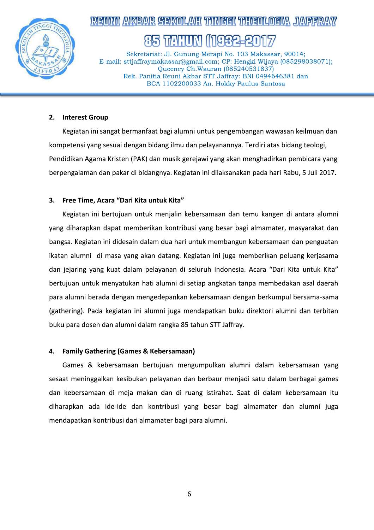

## <u>NI AVABANR SISKOILANI TUNIGGI TUHISOILOISIA JANSER</u> 174 HIN 482

Sekretariat: Jl. Gunung Merapi No. 103 Makassar, 90014; E-mail: sttjaffraymakassar@gmail.com; CP: Hengki Wijaya (085298038071); Oueency Ch. Wauran (085240531837) Rek. Panitia Reuni Akbar STT Jaffray: BNI 0494646381 dan BCA 1102200033 An. Hokky Paulus Santosa

#### **Interest Group**  $2.$

Kegiatan ini sangat bermanfaat bagi alumni untuk pengembangan wawasan keilmuan dan kompetensi yang sesuai dengan bidang ilmu dan pelayanannya. Terdiri atas bidang teologi, Pendidikan Agama Kristen (PAK) dan musik gerejawi yang akan menghadirkan pembicara yang berpengalaman dan pakar di bidangnya. Kegiatan ini dilaksanakan pada hari Rabu, 5 Juli 2017.

#### 3. Free Time, Acara "Dari Kita untuk Kita"

Kegiatan ini bertujuan untuk menjalin kebersamaan dan temu kangen di antara alumni yang diharapkan dapat memberikan kontribusi yang besar bagi almamater, masyarakat dan bangsa. Kegiatan ini didesain dalam dua hari untuk membangun kebersamaan dan penguatan ikatan alumni di masa yang akan datang. Kegiatan ini juga memberikan peluang kerjasama dan jejaring yang kuat dalam pelayanan di seluruh Indonesia. Acara "Dari Kita untuk Kita" bertujuan untuk menyatukan hati alumni di setiap angkatan tanpa membedakan asal daerah para alumni berada dengan mengedepankan kebersamaan dengan berkumpul bersama-sama (gathering). Pada kegiatan ini alumni juga mendapatkan buku direktori alumni dan terbitan buku para dosen dan alumni dalam rangka 85 tahun STT Jaffray.

#### 4. **Family Gathering (Games & Kebersamaan)**

Games & kebersamaan bertujuan mengumpulkan alumni dalam kebersamaan yang sesaat meninggalkan kesibukan pelayanan dan berbaur menjadi satu dalam berbagai games dan kebersamaan di meja makan dan di ruang istirahat. Saat di dalam kebersamaan itu diharapkan ada ide-ide dan kontribusi yang besar bagi almamater dan alumni juga mendapatkan kontribusi dari almamater bagi para alumni.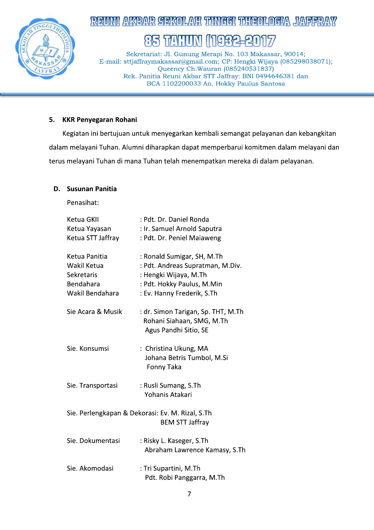

# READVIL AVREVAR SEEROLAVEL TUNISET TUESEOLOGIA JAVEERAV

#### **TAHIN** 85 932

Sekretariat: Jl. Gunung Merapi No. 103 Makassar, 90014; E-mail: sttjaffraymakassar@gmail.com; CP: Hengki Wijaya (085298038071); Queency Ch. Wauran (085240531837) Rek. Panitia Reuni Akbar STT Jaffray: BNI 0494646381 dan BCA 1102200033 An. Hokky Paulus Santosa

#### 5. **KKR Penyegaran Rohani**

Kegiatan ini bertujuan untuk menyegarkan kembali semangat pelayanan dan kebangkitan dalam melayani Tuhan. Alumni diharapkan dapat memperbarui komitmen dalam melayani dan terus melayani Tuhan di mana Tuhan telah menempatkan mereka di dalam pelayanan.

### D. Susunan Panitia

Penasihat:

| Ketua GKII<br>Ketua Yayasan<br>Ketua STT Jaffray                           | : Pdt. Dr. Daniel Ronda<br>: Ir. Samuel Arnold Saputra<br>: Pdt. Dr. Peniel Maiaweng                                                                |
|----------------------------------------------------------------------------|-----------------------------------------------------------------------------------------------------------------------------------------------------|
| Ketua Panitia<br>Wakil Ketua<br>Sekretaris<br>Bendahara<br>Wakil Bendahara | : Ronald Sumigar, SH, M.Th<br>: Pdt. Andreas Supratman, M.Div.<br>: Hengki Wijaya, M.Th<br>: Pdt. Hokky Paulus, M.Min<br>: Ev. Hanny Frederik, S.Th |
| Sie Acara & Musik                                                          | : dr. Simon Tarigan, Sp. THT, M.Th<br>Rohani Siahaan, SMG, M.Th<br>Agus Pandhi Sitio, SE                                                            |
| Sie. Konsumsi                                                              | : Christina Ukung, MA<br>Johana Betris Tumbol, M.Si<br>Fonny Taka                                                                                   |
| Sie. Transportasi                                                          | : Rusli Sumang, S.Th<br>Yohanis Atakari                                                                                                             |
|                                                                            | Sie. Perlengkapan & Dekorasi: Ev. M. Rizal, S.Th<br><b>BEM STT Jaffray</b>                                                                          |
| Sie. Dokumentasi                                                           | : Risky L. Kaseger, S.Th<br>Abraham Lawrence Kamasy, S.Th                                                                                           |
| Sie. Akomodasi                                                             | : Tri Supartini, M.Th<br>Pdt. Robi Panggarra, M.Th                                                                                                  |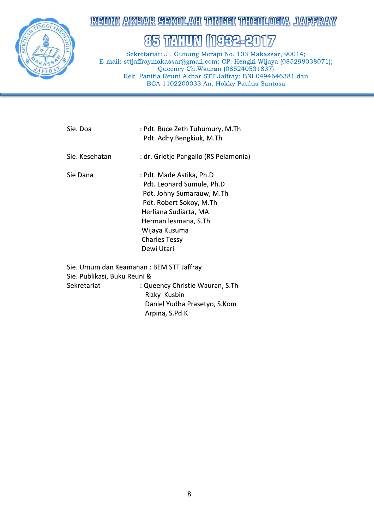

## **REUMI AKEAR SEKOLAH TIMGGI TIHEOLOGIA JAFFRAY**

# 85 TAHUN (1932-2017

Sekretariat: Jl. Gunung Merapi No. 103 Makassar, 90014; E-mail: sttjaffraymakassar@gmail.com; CP: Hengki Wijaya (085298038071); Queency Ch. Wauran (085240531837) Rek. Panitia Reuni Akbar STT Jaffray: BNI 0494646381 dan BCA 1102200033 An. Hokky Paulus Santosa

| Sie. Doa                                                                               | : Pdt. Buce Zeth Tuhumury, M.Th<br>Pdt. Adhy Bengkiuk, M.Th                                                                                                                                                           |
|----------------------------------------------------------------------------------------|-----------------------------------------------------------------------------------------------------------------------------------------------------------------------------------------------------------------------|
| Sie. Kesehatan                                                                         | : dr. Grietje Pangallo (RS Pelamonia)                                                                                                                                                                                 |
| Sie Dana                                                                               | : Pdt. Made Astika, Ph.D<br>Pdt. Leonard Sumule, Ph.D<br>Pdt. Johny Sumarauw, M.Th<br>Pdt. Robert Sokoy, M.Th<br>Herliana Sudiarta, MA<br>Herman lesmana, S.Th<br>Wijaya Kusuma<br><b>Charles Tessy</b><br>Dewi Utari |
| Sie. Umum dan Keamanan: BEM STT Jaffray<br>Sie. Publikasi, Buku Reuni &<br>Sekretariat | : Queency Christie Wauran, S.Th<br>Rizky Kusbin<br>Daniel Yudha Prasetyo, S.Kom<br>Arpina, S.Pd.K                                                                                                                     |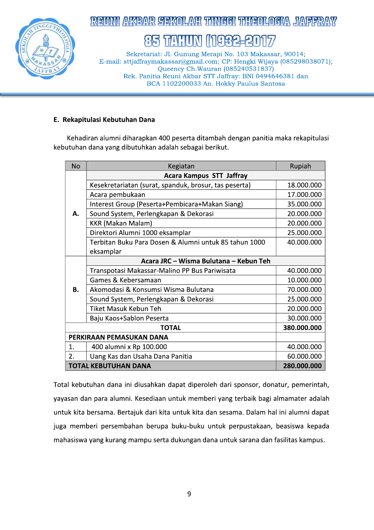

## REDMI AKEAR SEKOLAH TIMGGI TIHEDLOGIA JASERAN

#### 111982 **TAHIN** 85

Sekretariat: Jl. Gunung Merapi No. 103 Makassar, 90014; E-mail: sttjaffraymakassar@gmail.com; CP: Hengki Wijaya (085298038071); Queency Ch. Wauran (085240531837) Rek. Panitia Reuni Akbar STT Jaffray: BNI 0494646381 dan BCA 1102200033 An. Hokky Paulus Santosa

#### E. Rekapitulasi Kebutuhan Dana

Kehadiran alumni diharapkan 400 peserta ditambah dengan panitia maka rekapitulasi kebutuhan dana yang dibutuhkan adalah sebagai berikut.

| <b>No</b> | Kegiatan                                              | Rupiah      |  |  |  |
|-----------|-------------------------------------------------------|-------------|--|--|--|
|           | <b>Acara Kampus STT Jaffray</b>                       |             |  |  |  |
| Α.        | Kesekretariatan (surat, spanduk, brosur, tas peserta) | 18.000.000  |  |  |  |
|           | Acara pembukaan                                       | 17.000.000  |  |  |  |
|           | Interest Group (Peserta+Pembicara+Makan Siang)        | 35.000.000  |  |  |  |
|           | Sound System, Perlengkapan & Dekorasi                 | 20.000.000  |  |  |  |
|           | <b>KKR (Makan Malam)</b>                              | 20.000.000  |  |  |  |
|           | Direktori Alumni 1000 eksamplar                       | 25.000.000  |  |  |  |
|           | Terbitan Buku Para Dosen & Alumni untuk 85 tahun 1000 | 40.000.000  |  |  |  |
|           | eksamplar                                             |             |  |  |  |
|           | Acara JRC - Wisma Bulutana - Kebun Teh                |             |  |  |  |
| <b>B.</b> | Transpotasi Makassar-Malino PP Bus Pariwisata         | 40.000.000  |  |  |  |
|           | Games & Kebersamaan                                   | 10.000.000  |  |  |  |
|           | Akomodasi & Konsumsi Wisma Bulutana                   | 70.000.000  |  |  |  |
|           | Sound System, Perlengkapan & Dekorasi                 | 25.000.000  |  |  |  |
|           | Tiket Masuk Kebun Teh                                 | 20.000.000  |  |  |  |
|           | Baju Kaos+Sablon Peserta                              | 30.000.000  |  |  |  |
|           | <b>TOTAL</b>                                          | 380.000.000 |  |  |  |
|           | PERKIRAAN PEMASUKAN DANA                              |             |  |  |  |
| 1.        | 400 alumni x Rp 100.000                               | 40.000.000  |  |  |  |
| 2.        | Uang Kas dan Usaha Dana Panitia                       | 60.000.000  |  |  |  |
|           | <b>TOTAL KEBUTUHAN DANA</b>                           | 280.000.000 |  |  |  |

Total kebutuhan dana ini diusahkan dapat diperoleh dari sponsor, donatur, pemerintah, yayasan dan para alumni. Kesediaan untuk memberi yang terbaik bagi almamater adalah untuk kita bersama. Bertajuk dari kita untuk kita dan sesama. Dalam hal ini alumni dapat juga memberi persembahan berupa buku-buku untuk perpustakaan, beasiswa kepada mahasiswa yang kurang mampu serta dukungan dana untuk sarana dan fasilitas kampus.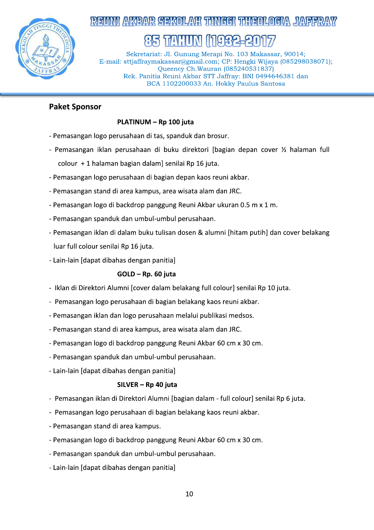

8

Sekretariat: Jl. Gunung Merapi No. 103 Makassar, 90014; E-mail: sttjaffraymakassar@gmail.com; CP: Hengki **AVABAVR SEXOLANI TANGGI TABEOLOGIA JAPPRAY**<br> **(35 TATION (1982–2017)**<br>
Sekretariat: J. Gunung Merapi No. 103 Makassar, 90014;<br>
sttjaffraymakassar@gmail.com; CP: Hengki Wijaya (085298038071);<br>
Queency Ch. Wauran (085240531 . Panitia Reuni Akbar STT Jaffray: BNI 0494646381 dan BCA 1102200033 An. Hokky Paulus Santosa

## Paket Sponsor

### PLATINUM - Rp 100 juta

- Pemasangan logo perusahaan di tas, spanduk dan brosur.
- Pemasangan iklan perusahaan di buku direktori [bagian depan cover  $\chi$  halaman full  $colour + 1$  halaman bagian dalam] senilai Rp 16 juta.
- Pemasangan logo perusahaan di bagian depan kaos reuni akbar.
- Pemasangan stand di area kampus, area wisata alam dan JRC.
- Pemasangan logo di backdrop panggung Reuni Akbar ukuran 0.5 m x 1 m.
- Pemasangan spanduk dan umbul-umbul perusahaan.
- Pemasangan iklan di dalam buku tulisan dosen & alumni [hitam putih] dan cover belakang luar full colour senilai Rp 16 juta.
- Lain-lain [dapat dibahas dengan panitia]

#### $GOLD - Rp. 60$  juta

- Iklan di Direktori Alumni [cover dalam belakang full colour] senilai Rp 10 juta.
- Pemasangan logo perusahaan di bagian belakang kaos reuni akbar.
- Pemasangan iklan dan logo perusahaan melalui publikasi medsos.
- Pemasangan stand di area kampus, area wisata alam dan JRC.
- Pemasangan logo di backdrop panggung Reuni Akbar 60 cm x 30 cm.
- Pemasangan spanduk dan umbul-umbul perusahaan.
- Lain-lain [dapat dibahas dengan panitia]

#### $SILVER - Rp$  40 juta

- Pemasangan iklan di Direktori Alumni [bagian dalam full colour] senilai Rp 6 juta.
- Pemasangan logo perusahaan di bagian belakang kaos reuni akbar.
- Pemasangan stand di area kampus.
- Pemasangan logo di backdrop panggung Reuni Akbar 60 cm x 30 cm.
- Pemasangan spanduk dan umbul-umbul perusahaan.
- Lain-lain [dapat dibahas dengan panitia]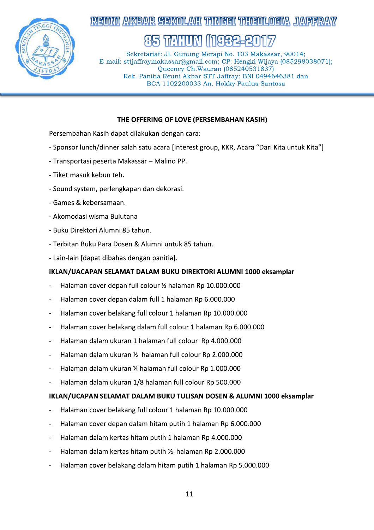

## REINNI AKEANR SEKOLAYI TINGGI TIBEOLOGIYA JAYEER

# **TALLET**

Sekretariat: Jl. Gunung Merapi No. 103 Makassar, 90014; E-mail: sttjaffraymakassar@gmail.com; CP: Hengki Wijaya (085298038071); Oueency Ch. Wauran (085240531837) Rek. Panitia Reuni Akbar STT Jaffray: BNI 0494646381 dan BCA 1102200033 An. Hokky Paulus Santosa

#### THE OFFERING OF LOVE (PERSEMBAHAN KASIH)

Persembahan Kasih dapat dilakukan dengan cara:

- Sponsor lunch/dinner salah satu acara [Interest group, KKR, Acara "Dari Kita untuk Kita"]
- Transportasi peserta Makassar Malino PP.
- Tiket masuk kebun teh.
- Sound system, perlengkapan dan dekorasi.
- Games & kebersamaan.
- Akomodasi wisma Bulutana
- Buku Direktori Alumni 85 tahun.
- Terbitan Buku Para Dosen & Alumni untuk 85 tahun.
- Lain-lain [dapat dibahas dengan panitia].

## IKLAN/UACAPAN SELAMAT DALAM BUKU DIREKTORI ALUMNI 1000 eksamplar

- Halaman cover depan full colour 1/2 halaman Rp 10.000.000
- Halaman cover depan dalam full 1 halaman Rp 6.000.000
- Halaman cover belakang full colour 1 halaman Rp 10.000.000
- Halaman cover belakang dalam full colour 1 halaman Rp 6.000.000
- Halaman dalam ukuran 1 halaman full colour Rp 4.000.000
- Halaman dalam ukuran 1/2 halaman full colour Rp 2.000.000
- Halaman dalam ukuran ¼ halaman full colour Rp 1.000.000
- Halaman dalam ukuran 1/8 halaman full colour Rp 500.000

#### IKLAN/UCAPAN SELAMAT DALAM BUKU TULISAN DOSEN & ALUMNI 1000 eksamplar

- Halaman cover belakang full colour 1 halaman Rp 10.000.000
- Halaman cover depan dalam hitam putih 1 halaman Rp 6.000.000
- Halaman dalam kertas hitam putih 1 halaman Rp 4.000.000
- Halaman dalam kertas hitam putih 1/2 halaman Rp 2.000.000
- Halaman cover belakang dalam hitam putih 1 halaman Rp 5.000.000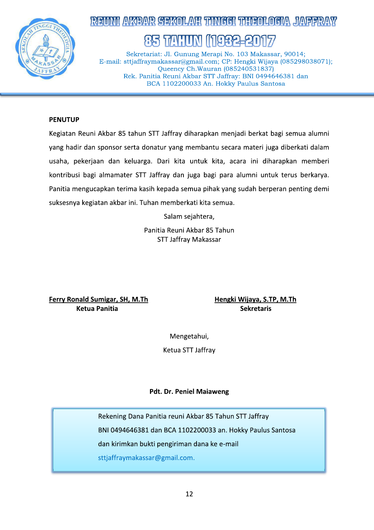

# REINNI AVABAR SEKOLAH TINGGI TIGEOLOGIA JAPERAY

7741:111N

Sekretariat: Jl. Gunung Merapi No. 103 Makassar, 90014; E-mail: sttjaffraymakassar@gmail.com; CP: Hengki Wijaya (085298038071); Queency Ch. Wauran (085240531837) Rek. Panitia Reuni Akbar STT Jaffray: BNI 0494646381 dan BCA 1102200033 An. Hokky Paulus Santosa

#### **PENUTUP**

Kegiatan Reuni Akbar 85 tahun STT Jaffray diharapkan menjadi berkat bagi semua alumni yang hadir dan sponsor serta donatur yang membantu secara materi juga diberkati dalam usaha, pekerjaan dan keluarga. Dari kita untuk kita, acara ini diharapkan memberi kontribusi bagi almamater STT Jaffray dan juga bagi para alumni untuk terus berkarya. Panitia mengucapkan terima kasih kepada semua pihak yang sudah berperan penting demi suksesnya kegiatan akbar ini. Tuhan memberkati kita semua.

Salam sejahtera,

Panitia Reuni Akbar 85 Tahun **STT Jaffray Makassar** 

Ferry Ronald Sumigar, SH, M.Th **Ketua Panitia** 

Hengki Wijaya, S.TP, M.Th **Sekretaris** 

Mengetahui,

Ketua STT Jaffray

#### **Pdt. Dr. Peniel Maiaweng**

Rekening Dana Panitia reuni Akbar 85 Tahun STT Jaffray BNI 0494646381 dan BCA 1102200033 an. Hokky Paulus Santosa dan kirimkan bukti pengiriman dana ke e-mail sttjaffraymakassar@gmail.com.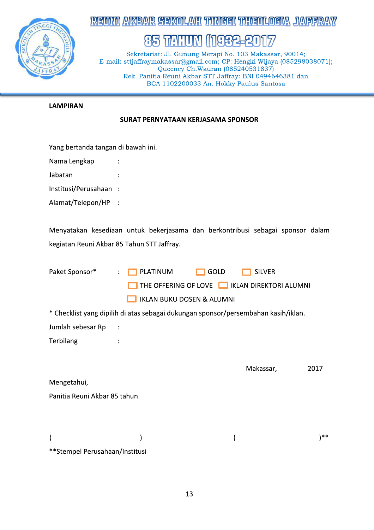

## **REUMI AKEAR SEKOLAH TIMGGI TIHENLOGIA JAFFRAY**

# 85 TAHUN (1982-2017

Sekretariat: Jl. Gunung Merapi No. 103 Makassar, 90014; E-mail: sttjaffraymakassar@gmail.com; CP: Hengki Wijaya (085298038071); Queency Ch. Wauran (085240531837) Rek. Panitia Reuni Akbar STT Jaffray: BNI 0494646381 dan BCA 1102200033 An. Hokky Paulus Santosa

### **LAMPIRAN**

#### SURAT PERNYATAAN KERJASAMA SPONSOR

| Yang bertanda tangan di bawah ini.                                                 |                                               |      |               |      |
|------------------------------------------------------------------------------------|-----------------------------------------------|------|---------------|------|
| Nama Lengkap                                                                       |                                               |      |               |      |
| Jabatan                                                                            |                                               |      |               |      |
| Institusi/Perusahaan :                                                             |                                               |      |               |      |
| Alamat/Telepon/HP                                                                  |                                               |      |               |      |
|                                                                                    |                                               |      |               |      |
| Menyatakan kesediaan untuk bekerjasama dan berkontribusi sebagai sponsor dalam     |                                               |      |               |      |
| kegiatan Reuni Akbar 85 Tahun STT Jaffray.                                         |                                               |      |               |      |
|                                                                                    |                                               |      |               |      |
| Paket Sponsor*                                                                     | PLATINUM                                      | GOLD | <b>SILVER</b> |      |
|                                                                                    | THE OFFERING OF LOVE   IKLAN DIREKTORI ALUMNI |      |               |      |
|                                                                                    | <b>IKLAN BUKU DOSEN &amp; ALUMNI</b>          |      |               |      |
| * Checklist yang dipilih di atas sebagai dukungan sponsor/persembahan kasih/iklan. |                                               |      |               |      |
| Jumlah sebesar Rp                                                                  |                                               |      |               |      |
| Terbilang                                                                          |                                               |      |               |      |
|                                                                                    |                                               |      |               |      |
|                                                                                    |                                               |      | Makassar,     | 2017 |
| Mengetahui,                                                                        |                                               |      |               |      |
| Panitia Reuni Akbar 85 tahun                                                       |                                               |      |               |      |
|                                                                                    |                                               |      |               |      |
|                                                                                    |                                               |      |               |      |
| (                                                                                  |                                               |      |               | $**$ |

\*\*Stempel Perusahaan/Institusi